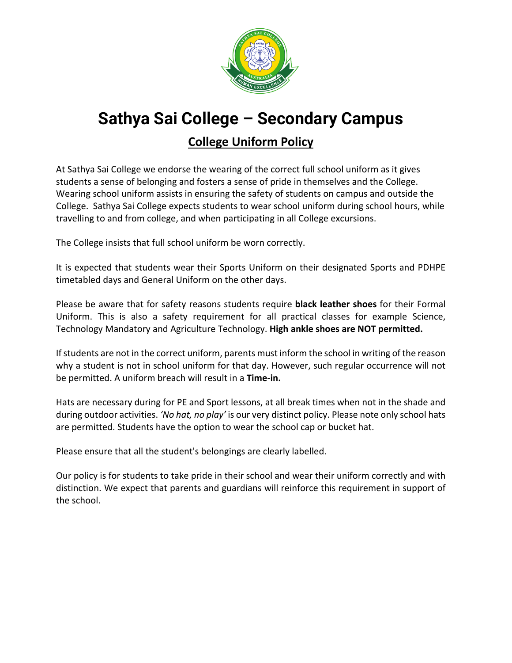

# **Sathya Sai College – Secondary Campus College Uniform Policy**

At Sathya Sai College we endorse the wearing of the correct full school uniform as it gives students a sense of belonging and fosters a sense of pride in themselves and the College. Wearing school uniform assists in ensuring the safety of students on campus and outside the College. Sathya Sai College expects students to wear school uniform during school hours, while travelling to and from college, and when participating in all College excursions.

The College insists that full school uniform be worn correctly.

It is expected that students wear their Sports Uniform on their designated Sports and PDHPE timetabled days and General Uniform on the other days.

Please be aware that for safety reasons students require **black leather shoes** for their Formal Uniform. This is also a safety requirement for all practical classes for example Science, Technology Mandatory and Agriculture Technology. **High ankle shoes are NOT permitted.**

If students are not in the correct uniform, parents must inform the school in writing of the reason why a student is not in school uniform for that day. However, such regular occurrence will not be permitted. A uniform breach will result in a **Time-in.**

Hats are necessary during for PE and Sport lessons, at all break times when not in the shade and during outdoor activities. *'No hat, no play'* is our very distinct policy. Please note only school hats are permitted. Students have the option to wear the school cap or bucket hat.

Please ensure that all the student's belongings are clearly labelled.

Our policy is for students to take pride in their school and wear their uniform correctly and with distinction. We expect that parents and guardians will reinforce this requirement in support of the school.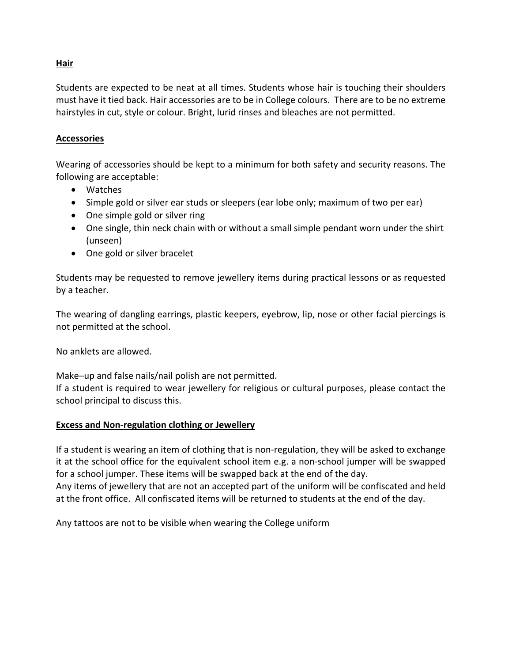#### **Hair**

Students are expected to be neat at all times. Students whose hair is touching their shoulders must have it tied back. Hair accessories are to be in College colours. There are to be no extreme hairstyles in cut, style or colour. Bright, lurid rinses and bleaches are not permitted.

#### **Accessories**

Wearing of accessories should be kept to a minimum for both safety and security reasons. The following are acceptable:

- Watches
- Simple gold or silver ear studs or sleepers (ear lobe only; maximum of two per ear)
- One simple gold or silver ring
- One single, thin neck chain with or without a small simple pendant worn under the shirt (unseen)
- One gold or silver bracelet

Students may be requested to remove jewellery items during practical lessons or as requested by a teacher.

The wearing of dangling earrings, plastic keepers, eyebrow, lip, nose or other facial piercings is not permitted at the school.

No anklets are allowed.

Make–up and false nails/nail polish are not permitted.

If a student is required to wear jewellery for religious or cultural purposes, please contact the school principal to discuss this.

#### **Excess and Non-regulation clothing or Jewellery**

If a student is wearing an item of clothing that is non-regulation, they will be asked to exchange it at the school office for the equivalent school item e.g. a non-school jumper will be swapped for a school jumper. These items will be swapped back at the end of the day. Any items of jewellery that are not an accepted part of the uniform will be confiscated and held at the front office. All confiscated items will be returned to students at the end of the day.

Any tattoos are not to be visible when wearing the College uniform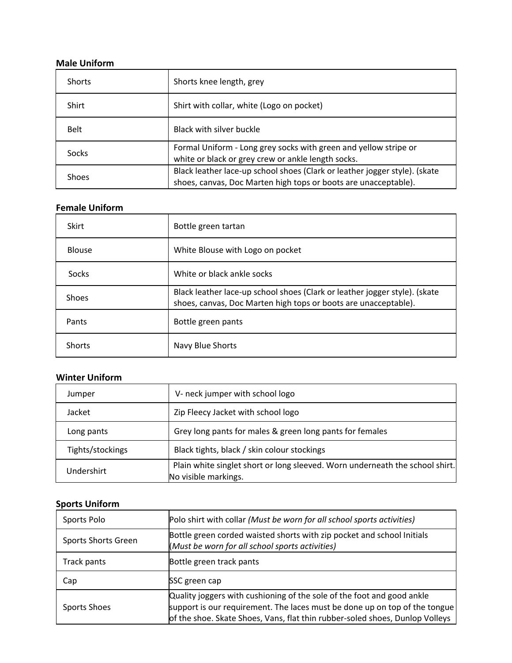#### **Male Uniform**

| <b>Shorts</b> | Shorts knee length, grey                                                                                                                      |  |
|---------------|-----------------------------------------------------------------------------------------------------------------------------------------------|--|
| Shirt         | Shirt with collar, white (Logo on pocket)                                                                                                     |  |
| <b>Belt</b>   | Black with silver buckle                                                                                                                      |  |
| Socks         | Formal Uniform - Long grey socks with green and yellow stripe or<br>white or black or grey crew or ankle length socks.                        |  |
| <b>Shoes</b>  | Black leather lace-up school shoes (Clark or leather jogger style). (skate<br>shoes, canvas, Doc Marten high tops or boots are unacceptable). |  |

#### **Female Uniform**

| Skirt         | Bottle green tartan                                                                                                                           |
|---------------|-----------------------------------------------------------------------------------------------------------------------------------------------|
| <b>Blouse</b> | White Blouse with Logo on pocket                                                                                                              |
| Socks         | White or black ankle socks                                                                                                                    |
| Shoes         | Black leather lace-up school shoes (Clark or leather jogger style). (skate<br>shoes, canvas, Doc Marten high tops or boots are unacceptable). |
| Pants         | Bottle green pants                                                                                                                            |
| <b>Shorts</b> | Navy Blue Shorts                                                                                                                              |

## **Winter Uniform**

| <u>UUIILEI VIIIIVIIII</u> |                                                                                                      |  |
|---------------------------|------------------------------------------------------------------------------------------------------|--|
| Jumper                    | V- neck jumper with school logo                                                                      |  |
| Jacket                    | Zip Fleecy Jacket with school logo                                                                   |  |
| Long pants                | Grey long pants for males & green long pants for females                                             |  |
| Tights/stockings          | Black tights, black / skin colour stockings                                                          |  |
| Undershirt                | Plain white singlet short or long sleeved. Worn underneath the school shirt.<br>No visible markings. |  |

### **Sports Uniform**

| Sports Polo         | Polo shirt with collar (Must be worn for all school sports activities)                                                                                                                                                               |  |
|---------------------|--------------------------------------------------------------------------------------------------------------------------------------------------------------------------------------------------------------------------------------|--|
| Sports Shorts Green | Bottle green corded waisted shorts with zip pocket and school Initials<br>(Must be worn for all school sports activities)                                                                                                            |  |
| Track pants         | Bottle green track pants                                                                                                                                                                                                             |  |
| Cap                 | SSC green cap                                                                                                                                                                                                                        |  |
| Sports Shoes        | Quality joggers with cushioning of the sole of the foot and good ankle<br>support is our requirement. The laces must be done up on top of the tongue<br>of the shoe. Skate Shoes, Vans, flat thin rubber-soled shoes, Dunlop Volleys |  |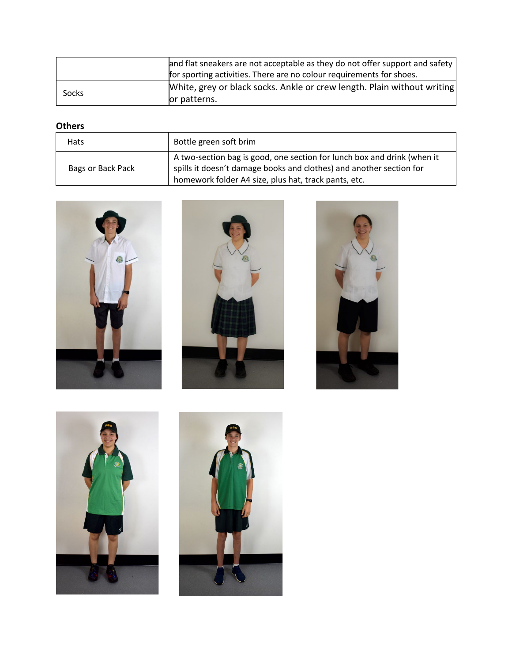|       | and flat sneakers are not acceptable as they do not offer support and safety |  |
|-------|------------------------------------------------------------------------------|--|
|       | for sporting activities. There are no colour requirements for shoes.         |  |
| Socks | White, grey or black socks. Ankle or crew length. Plain without writing      |  |
|       | lor patterns.                                                                |  |

# **Others**

| <b>Hats</b>       | Bottle green soft brim                                                                                                                                                                                 |
|-------------------|--------------------------------------------------------------------------------------------------------------------------------------------------------------------------------------------------------|
| Bags or Back Pack | A two-section bag is good, one section for lunch box and drink (when it<br>spills it doesn't damage books and clothes) and another section for<br>homework folder A4 size, plus hat, track pants, etc. |